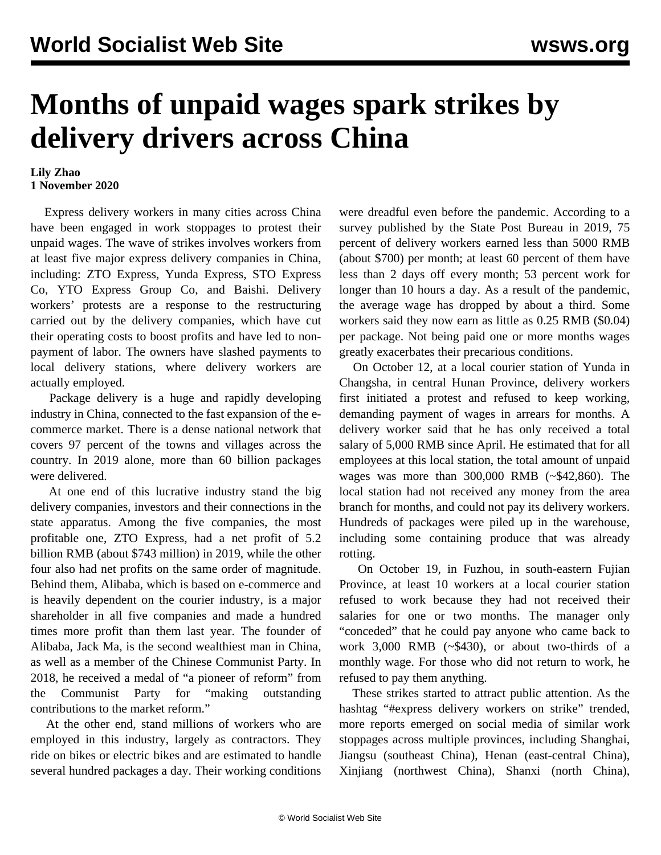## **Months of unpaid wages spark strikes by delivery drivers across China**

## **Lily Zhao 1 November 2020**

 Express delivery workers in many cities across China have been engaged in work stoppages to protest their unpaid wages. The wave of strikes involves workers from at least five major express delivery companies in China, including: ZTO Express, Yunda Express, STO Express Co, YTO Express Group Co, and Baishi. Delivery workers' protests are a response to the restructuring carried out by the delivery companies, which have cut their operating costs to boost profits and have led to nonpayment of labor. The owners have slashed payments to local delivery stations, where delivery workers are actually employed.

 Package delivery is a huge and rapidly developing industry in China, connected to the fast expansion of the ecommerce market. There is a dense national network that covers 97 percent of the towns and villages across the country. In 2019 alone, more than 60 billion packages were delivered.

 At one end of this lucrative industry stand the big delivery companies, investors and their connections in the state apparatus. Among the five companies, the most profitable one, ZTO Express, had a net profit of 5.2 billion RMB (about \$743 million) in 2019, while the other four also had net profits on the same order of magnitude. Behind them, Alibaba, which is based on e-commerce and is heavily dependent on the courier industry, is a major shareholder in all five companies and made a hundred times more profit than them last year. The founder of Alibaba, Jack Ma, is the second wealthiest man in China, as well as a member of the Chinese Communist Party. In 2018, he received a medal of "a pioneer of reform" from the Communist Party for "making outstanding contributions to the market reform."

 At the other end, stand millions of workers who are employed in this industry, largely as contractors. They ride on bikes or electric bikes and are estimated to handle several hundred packages a day. Their working conditions

were dreadful even before the pandemic. According to a survey published by the State Post Bureau in 2019, 75 percent of delivery workers earned less than 5000 RMB (about \$700) per month; at least 60 percent of them have less than 2 days off every month; 53 percent work for longer than 10 hours a day. As a result of the pandemic, the average wage has dropped by about a third. Some workers said they now earn as little as 0.25 RMB (\$0.04) per package. Not being paid one or more months wages greatly exacerbates their precarious conditions.

 On October 12, at a local courier station of Yunda in Changsha, in central Hunan Province, delivery workers first initiated a protest and refused to keep working, demanding payment of wages in arrears for months. A delivery worker said that he has only received a total salary of 5,000 RMB since April. He estimated that for all employees at this local station, the total amount of unpaid wages was more than 300,000 RMB (~\$42,860). The local station had not received any money from the area branch for months, and could not pay its delivery workers. Hundreds of packages were piled up in the warehouse, including some containing produce that was already rotting.

 On October 19, in Fuzhou, in south-eastern Fujian Province, at least 10 workers at a local courier station refused to work because they had not received their salaries for one or two months. The manager only "conceded" that he could pay anyone who came back to work 3,000 RMB (~\$430), or about two-thirds of a monthly wage. For those who did not return to work, he refused to pay them anything.

 These strikes started to attract public attention. As the hashtag "#express delivery workers on strike" trended, more reports emerged on social media of similar work stoppages across multiple provinces, including Shanghai, Jiangsu (southeast China), Henan (east-central China), Xinjiang (northwest China), Shanxi (north China),